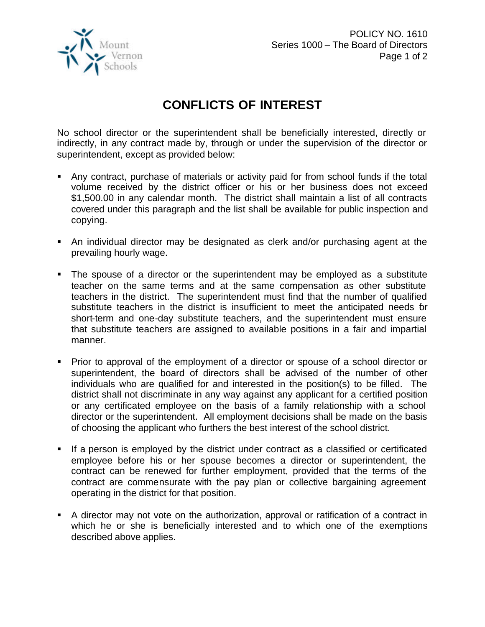

## **CONFLICTS OF INTEREST**

No school director or the superintendent shall be beneficially interested, directly or indirectly, in any contract made by, through or under the supervision of the director or superintendent, except as provided below:

- Any contract, purchase of materials or activity paid for from school funds if the total volume received by the district officer or his or her business does not exceed \$1,500.00 in any calendar month. The district shall maintain a list of all contracts covered under this paragraph and the list shall be available for public inspection and copying.
- ß An individual director may be designated as clerk and/or purchasing agent at the prevailing hourly wage.
- The spouse of a director or the superintendent may be employed as a substitute teacher on the same terms and at the same compensation as other substitute teachers in the district. The superintendent must find that the number of qualified substitute teachers in the district is insufficient to meet the anticipated needs for short-term and one-day substitute teachers, and the superintendent must ensure that substitute teachers are assigned to available positions in a fair and impartial manner.
- Prior to approval of the employment of a director or spouse of a school director or superintendent, the board of directors shall be advised of the number of other individuals who are qualified for and interested in the position(s) to be filled. The district shall not discriminate in any way against any applicant for a certified position or any certificated employee on the basis of a family relationship with a school director or the superintendent. All employment decisions shall be made on the basis of choosing the applicant who furthers the best interest of the school district.
- ß If a person is employed by the district under contract as a classified or certificated employee before his or her spouse becomes a director or superintendent, the contract can be renewed for further employment, provided that the terms of the contract are commensurate with the pay plan or collective bargaining agreement operating in the district for that position.
- **A** director may not vote on the authorization, approval or ratification of a contract in which he or she is beneficially interested and to which one of the exemptions described above applies.